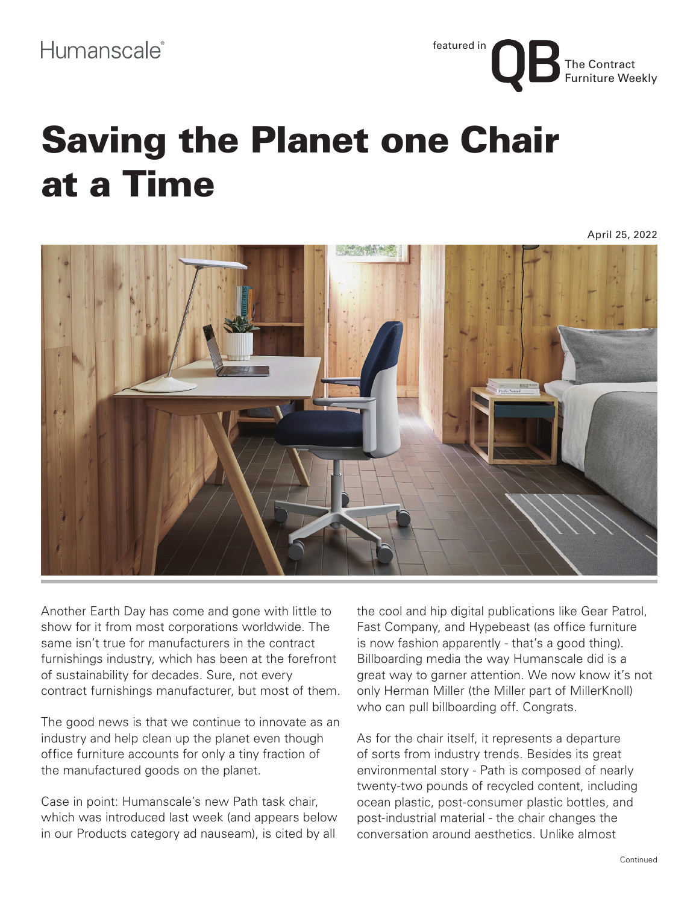The Contract Furniture Weekly featured in

## Saving the Planet one Chair at a Time

April 25, 2022



Another Earth Day has come and gone with little to show for it from most corporations worldwide. The same isn't true for manufacturers in the contract furnishings industry, which has been at the forefront of sustainability for decades. Sure, not every contract furnishings manufacturer, but most of them.

The good news is that we continue to innovate as an industry and help clean up the planet even though office furniture accounts for only a tiny fraction of the manufactured goods on the planet.

Case in point: Humanscale's new Path task chair, which was introduced last week (and appears below in our Products category ad nauseam), is cited by all

the cool and hip digital publications like Gear Patrol, Fast Company, and Hypebeast (as office furniture is now fashion apparently - that's a good thing). Billboarding media the way Humanscale did is a great way to garner attention. We now know it's not only Herman Miller (the Miller part of MillerKnoll) who can pull billboarding off. Congrats.

As for the chair itself, it represents a departure of sorts from industry trends. Besides its great environmental story - Path is composed of nearly twenty-two pounds of recycled content, including ocean plastic, post-consumer plastic bottles, and post-industrial material - the chair changes the conversation around aesthetics. Unlike almost